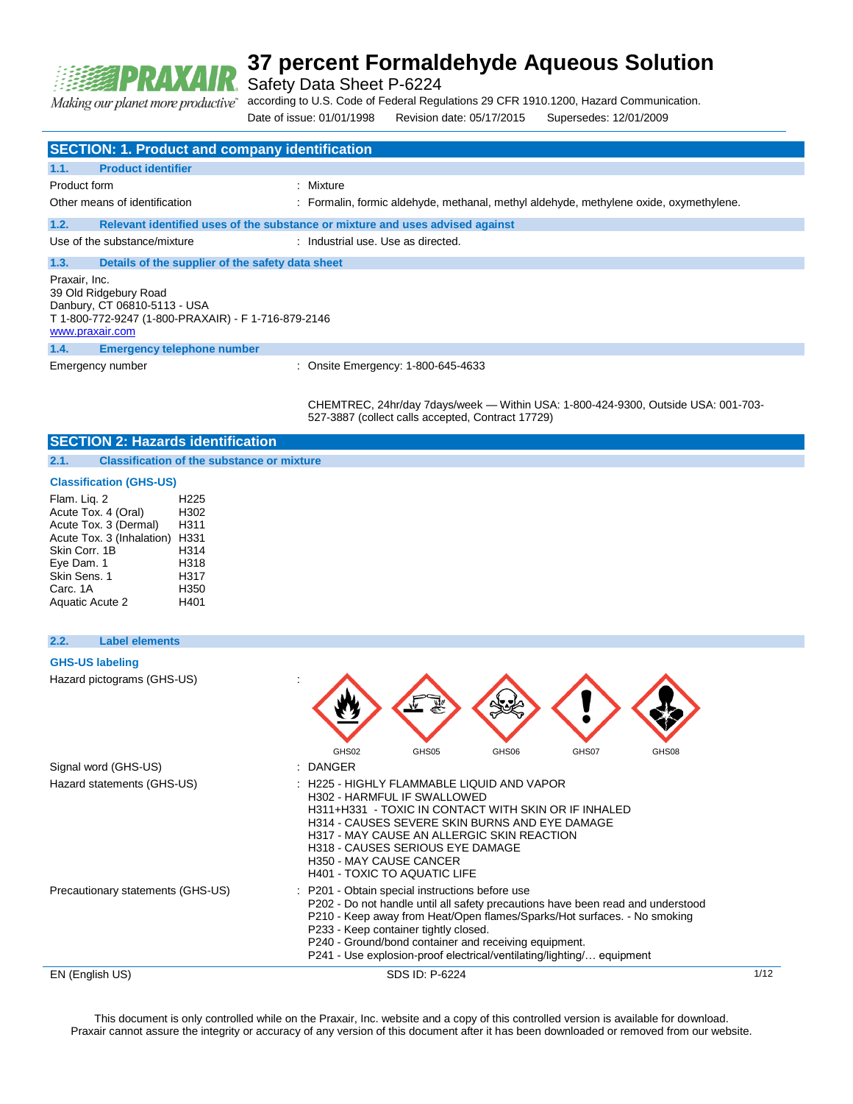

Safety Data Sheet P-6224

Making our planet more productive"

according to U.S. Code of Federal Regulations 29 CFR 1910.1200, Hazard Communication.

Date of issue: 01/01/1998 Revision date: 05/17/2015 Supersedes: 12/01/2009

|                                                                                                                                                  | <b>SECTION: 1. Product and company identification</b> |                                                                                        |  |  |
|--------------------------------------------------------------------------------------------------------------------------------------------------|-------------------------------------------------------|----------------------------------------------------------------------------------------|--|--|
| 1.1.                                                                                                                                             | <b>Product identifier</b>                             |                                                                                        |  |  |
| Product form                                                                                                                                     |                                                       | : Mixture                                                                              |  |  |
|                                                                                                                                                  | Other means of identification                         | : Formalin, formic aldehyde, methanal, methyl aldehyde, methylene oxide, oxymethylene. |  |  |
| 1.2.                                                                                                                                             |                                                       | Relevant identified uses of the substance or mixture and uses advised against          |  |  |
|                                                                                                                                                  | Use of the substance/mixture                          | : Industrial use, Use as directed.                                                     |  |  |
| 1.3.                                                                                                                                             | Details of the supplier of the safety data sheet      |                                                                                        |  |  |
| Praxair, Inc.<br>39 Old Ridgebury Road<br>Danbury, CT 06810-5113 - USA<br>T 1-800-772-9247 (1-800-PRAXAIR) - F 1-716-879-2146<br>www.praxair.com |                                                       |                                                                                        |  |  |
| 1.4.                                                                                                                                             | <b>Emergency telephone number</b>                     |                                                                                        |  |  |
|                                                                                                                                                  | Emergency number                                      | : Onsite Emergency: 1-800-645-4633                                                     |  |  |

CHEMTREC, 24hr/day 7days/week — Within USA: 1-800-424-9300, Outside USA: 001-703- 527-3887 (collect calls accepted, Contract 17729)

### **SECTION 2: Hazards identification**

**2.1. Classification of the substance or mixture**

### **Classification (GHS-US)**

| Flam. Lig. 2              | H <sub>225</sub> |
|---------------------------|------------------|
| Acute Tox. 4 (Oral)       | H302             |
| Acute Tox. 3 (Dermal)     | H311             |
| Acute Tox. 3 (Inhalation) | H331             |
| Skin Corr. 1B             | H314             |
| Eye Dam. 1                | H318             |
| Skin Sens, 1              | H317             |
| Carc. 1A                  | H350             |
| Aquatic Acute 2           | H401             |

### **2.2. Label elements**

### **GHS-US labeling**

| Hazard pictograms (GHS-US)<br>Signal word (GHS-US) | 婴<br>GHS02<br>GHS05<br>GHS06<br>GHS07<br>GHS08<br>: DANGER                                                                                                                                                                                                                                                                                                                                |      |
|----------------------------------------------------|-------------------------------------------------------------------------------------------------------------------------------------------------------------------------------------------------------------------------------------------------------------------------------------------------------------------------------------------------------------------------------------------|------|
| Hazard statements (GHS-US)                         | : H225 - HIGHLY FLAMMABLE LIQUID AND VAPOR<br>H302 - HARMFUL IF SWALLOWED<br>H311+H331 - TOXIC IN CONTACT WITH SKIN OR IF INHALED<br>H314 - CAUSES SEVERE SKIN BURNS AND EYE DAMAGE<br>H317 - MAY CAUSE AN ALLERGIC SKIN REACTION<br><b>H318 - CAUSES SERIOUS EYE DAMAGE</b><br>H350 - MAY CAUSE CANCER<br>H401 - TOXIC TO AQUATIC LIFE                                                   |      |
| Precautionary statements (GHS-US)                  | : P201 - Obtain special instructions before use<br>P202 - Do not handle until all safety precautions have been read and understood<br>P210 - Keep away from Heat/Open flames/Sparks/Hot surfaces. - No smoking<br>P233 - Keep container tightly closed.<br>P240 - Ground/bond container and receiving equipment.<br>P241 - Use explosion-proof electrical/ventilating/lighting/ equipment |      |
| EN (English US)                                    | SDS ID: P-6224                                                                                                                                                                                                                                                                                                                                                                            | 1/12 |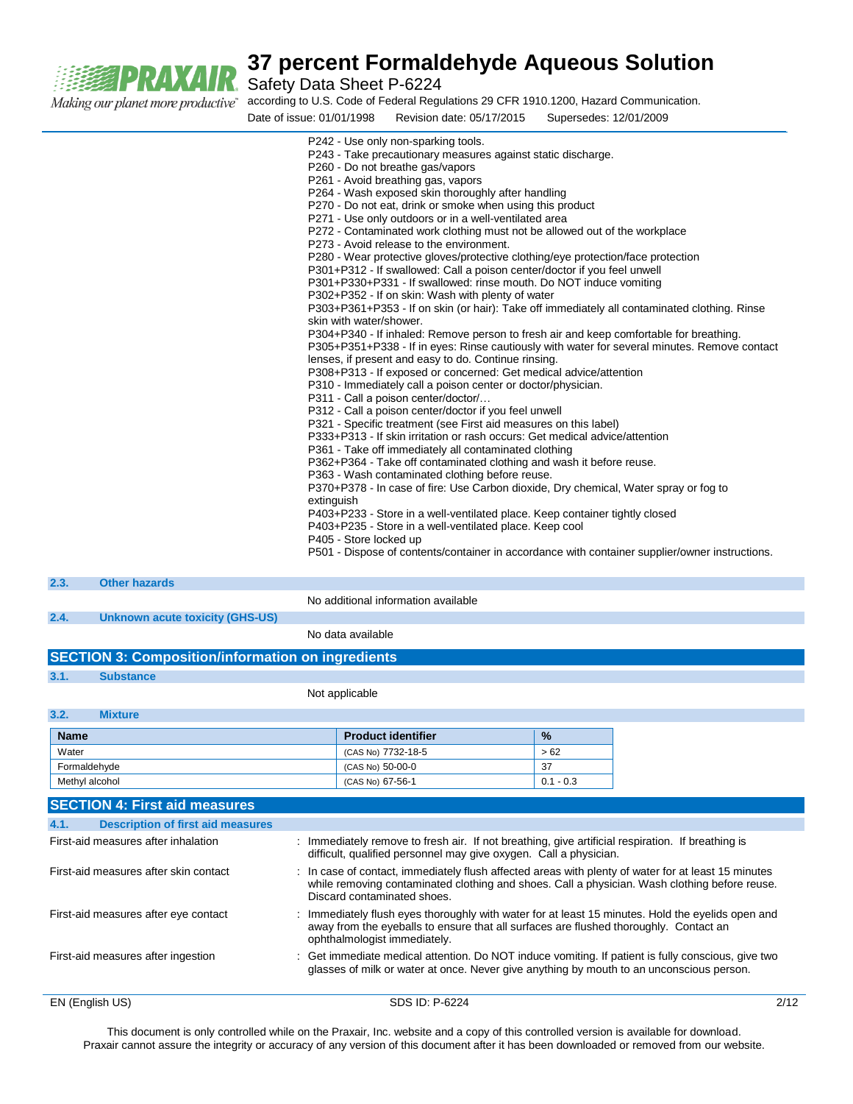

Safety Data Sheet P-6224

according to U.S. Code of Federal Regulations 29 CFR 1910.1200, Hazard Communication.

| Date of issue: 01/01/1998<br>Supersedes: 12/01/2009<br>Revision date: 05/17/2015               |  |
|------------------------------------------------------------------------------------------------|--|
| P242 - Use only non-sparking tools.                                                            |  |
| P243 - Take precautionary measures against static discharge.                                   |  |
| P260 - Do not breathe gas/vapors                                                               |  |
| P261 - Avoid breathing gas, vapors                                                             |  |
| P264 - Wash exposed skin thoroughly after handling                                             |  |
| P270 - Do not eat, drink or smoke when using this product                                      |  |
| P271 - Use only outdoors or in a well-ventilated area                                          |  |
| P272 - Contaminated work clothing must not be allowed out of the workplace                     |  |
| P273 - Avoid release to the environment.                                                       |  |
| P280 - Wear protective gloves/protective clothing/eye protection/face protection               |  |
| P301+P312 - If swallowed: Call a poison center/doctor if you feel unwell                       |  |
| P301+P330+P331 - If swallowed: rinse mouth. Do NOT induce vomiting                             |  |
| P302+P352 - If on skin: Wash with plenty of water                                              |  |
| P303+P361+P353 - If on skin (or hair): Take off immediately all contaminated clothing. Rinse   |  |
| skin with water/shower.                                                                        |  |
| P304+P340 - If inhaled: Remove person to fresh air and keep comfortable for breathing.         |  |
| P305+P351+P338 - If in eyes: Rinse cautiously with water for several minutes. Remove contact   |  |
| lenses, if present and easy to do. Continue rinsing.                                           |  |
| P308+P313 - If exposed or concerned: Get medical advice/attention                              |  |
| P310 - Immediately call a poison center or doctor/physician.                                   |  |
| P311 - Call a poison center/doctor/                                                            |  |
| P312 - Call a poison center/doctor if you feel unwell                                          |  |
| P321 - Specific treatment (see First aid measures on this label)                               |  |
| P333+P313 - If skin irritation or rash occurs: Get medical advice/attention                    |  |
| P361 - Take off immediately all contaminated clothing                                          |  |
| P362+P364 - Take off contaminated clothing and wash it before reuse.                           |  |
| P363 - Wash contaminated clothing before reuse.                                                |  |
| P370+P378 - In case of fire: Use Carbon dioxide, Dry chemical, Water spray or fog to           |  |
| extinguish                                                                                     |  |
| P403+P233 - Store in a well-ventilated place. Keep container tightly closed                    |  |
| P403+P235 - Store in a well-ventilated place. Keep cool                                        |  |
| P405 - Store locked up                                                                         |  |
| P501 - Dispose of contents/container in accordance with container supplier/owner instructions. |  |
|                                                                                                |  |

| 2.3. | <b>Other hazards</b>                                                               |                                     |  |
|------|------------------------------------------------------------------------------------|-------------------------------------|--|
|      |                                                                                    | No additional information available |  |
| 2.4. | Unknown acute toxicity (GHS-US)                                                    |                                     |  |
|      |                                                                                    | No data available                   |  |
|      | $C$ $C$ $T$ $D$ $I$ $I$ $o$ , $C$ $a$ mna $a$ ilian $l$ infarmatian an inaradianta |                                     |  |

### **SECTION 3: Composition/information on ingredients**

**3.1. Substance**

**3.2. Mixture**

Not applicable

| 3.2.<br><u>IVIIXTUITE</u> |                           |               |
|---------------------------|---------------------------|---------------|
| <b>Name</b>               | <b>Product identifier</b> | $\frac{9}{6}$ |
| Water                     | (CAS No) 7732-18-5        | >62           |
| Formaldehvde              | (CAS No) 50-00-0          | 37            |
| Methyl alcohol            | (CAS No) 67-56-1          | $0.1 - 0.3$   |

|      | <b>SECTION 4: First aid measures</b>     |                                                                                                                                                                                                                                     |      |
|------|------------------------------------------|-------------------------------------------------------------------------------------------------------------------------------------------------------------------------------------------------------------------------------------|------|
| 4.1. | <b>Description of first aid measures</b> |                                                                                                                                                                                                                                     |      |
|      | First-aid measures after inhalation      | : Immediately remove to fresh air. If not breathing, give artificial respiration. If breathing is<br>difficult, qualified personnel may give oxygen. Call a physician.                                                              |      |
|      | First-aid measures after skin contact    | : In case of contact, immediately flush affected areas with plenty of water for at least 15 minutes<br>while removing contaminated clothing and shoes. Call a physician. Wash clothing before reuse.<br>Discard contaminated shoes. |      |
|      | First-aid measures after eye contact     | : Immediately flush eyes thoroughly with water for at least 15 minutes. Hold the eyelids open and<br>away from the eyeballs to ensure that all surfaces are flushed thoroughly. Contact an<br>ophthalmologist immediately.          |      |
|      | First-aid measures after ingestion       | : Get immediate medical attention. Do NOT induce vomiting. If patient is fully conscious, give two<br>glasses of milk or water at once. Never give anything by mouth to an unconscious person.                                      |      |
|      | EN (English US)                          | SDS ID: P-6224                                                                                                                                                                                                                      | 2/12 |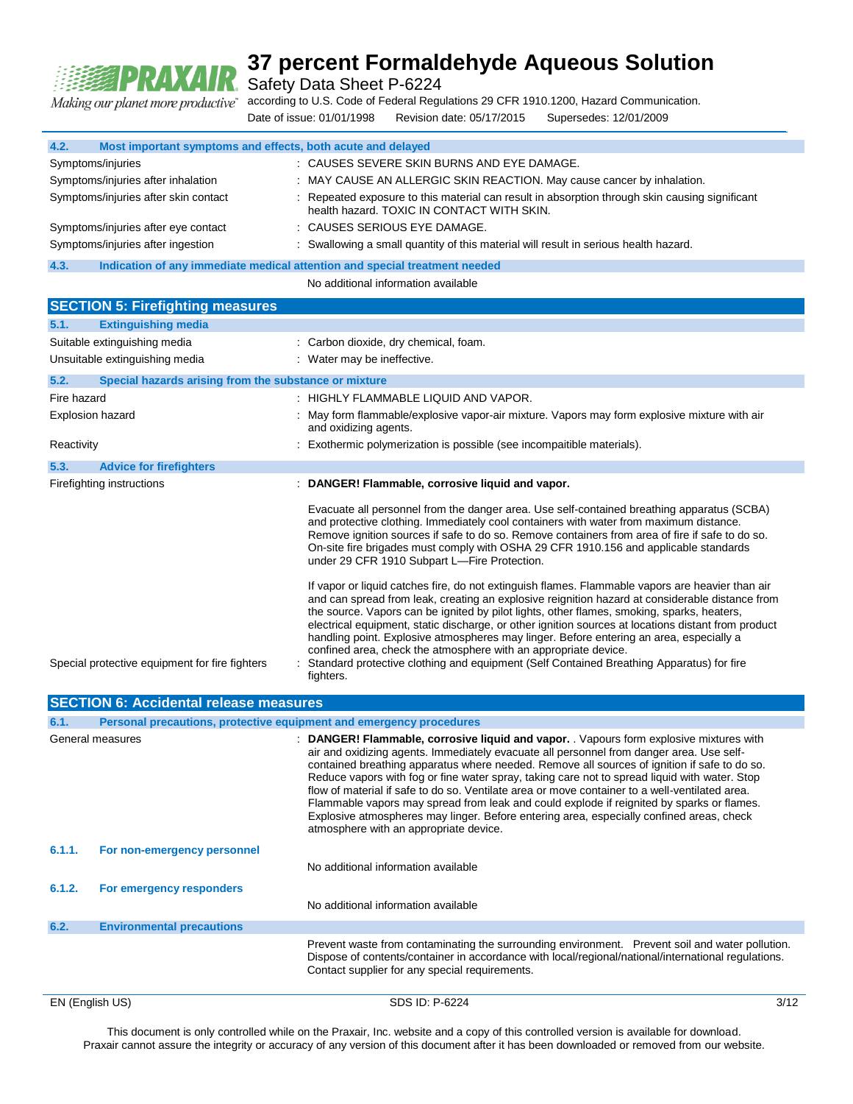

Safety Data Sheet P-6224

according to U.S. Code of Federal Regulations 29 CFR 1910.1200, Hazard Communication. Making our planet more productive" Date of issue: 01/01/1998 Revision date: 05/17/2015 Supersedes: 12/01/2009

**4.2. Most important symptoms and effects, both acute and delayed** Symptoms/injuries : CAUSES SEVERE SKIN BURNS AND EYE DAMAGE. Symptoms/injuries after inhalation : MAY CAUSE AN ALLERGIC SKIN REACTION. May cause cancer by inhalation. Symptoms/injuries after skin contact : Repeated exposure to this material can result in absorption through skin causing significant health hazard. TOXIC IN CONTACT WITH SKIN. Symptoms/injuries after eye contact : CAUSES SERIOUS EYE DAMAGE. Symptoms/injuries after ingestion : Swallowing a small quantity of this material will result in serious health hazard. **4.3. Indication of any immediate medical attention and special treatment needed** No additional information available **SECTION 5: Firefighting measures 5.1. Extinguishing media** Suitable extinguishing media : Carbon dioxide, dry chemical, foam. Unsuitable extinguishing media : Water may be ineffective. **5.2. Special hazards arising from the substance or mixture** Fire hazard **Example 20 Telephant Control 10 Telephant Control 11 Telephant Control 11 Telephant Control 11 Telephant Control 11 Telephant Control 11 Telephant Control 11 Telephant Control 11 Telephant Control 11 Telephant** Explosion hazard **in the state of the Capacita**: May form flammable/explosive vapor-air mixture. Vapors may form explosive mixture with air and oxidizing agents. Reactivity **Solution Contract Contract Contract Contract Contract Contract Contract Contract Contract Contract Contract Contract Contract Contract Contract Contract Contract Contract Contract Contract Contract Contract Con 5.3. Advice for firefighters** Firefighting instructions : **DANGER! Flammable, corrosive liquid and vapor.**  Evacuate all personnel from the danger area. Use self-contained breathing apparatus (SCBA) and protective clothing. Immediately cool containers with water from maximum distance. Remove ignition sources if safe to do so. Remove containers from area of fire if safe to do so. On-site fire brigades must comply with OSHA 29 CFR 1910.156 and applicable standards under 29 CFR 1910 Subpart L—Fire Protection. If vapor or liquid catches fire, do not extinguish flames. Flammable vapors are heavier than air and can spread from leak, creating an explosive reignition hazard at considerable distance from the source. Vapors can be ignited by pilot lights, other flames, smoking, sparks, heaters, electrical equipment, static discharge, or other ignition sources at locations distant from product handling point. Explosive atmospheres may linger. Before entering an area, especially a confined area, check the atmosphere with an appropriate device. Special protective equipment for fire fighters : Standard protective clothing and equipment (Self Contained Breathing Apparatus) for fire fighters. **SECTION 6: Accidental release measures 6.1. Personal precautions, protective equipment and emergency procedures** General measures **interpretatal measures** : DANGER! Flammable, corrosive liquid and vapor. . Vapours form explosive mixtures with air and oxidizing agents. Immediately evacuate all personnel from danger area. Use selfcontained breathing apparatus where needed. Remove all sources of ignition if safe to do so. Reduce vapors with fog or fine water spray, taking care not to spread liquid with water. Stop flow of material if safe to do so. Ventilate area or move container to a well-ventilated area. Flammable vapors may spread from leak and could explode if reignited by sparks or flames. Explosive atmospheres may linger. Before entering area, especially confined areas, check atmosphere with an appropriate device. **6.1.1. For non-emergency personnel** No additional information available **6.1.2. For emergency responders** No additional information available **6.2. Environmental precautions**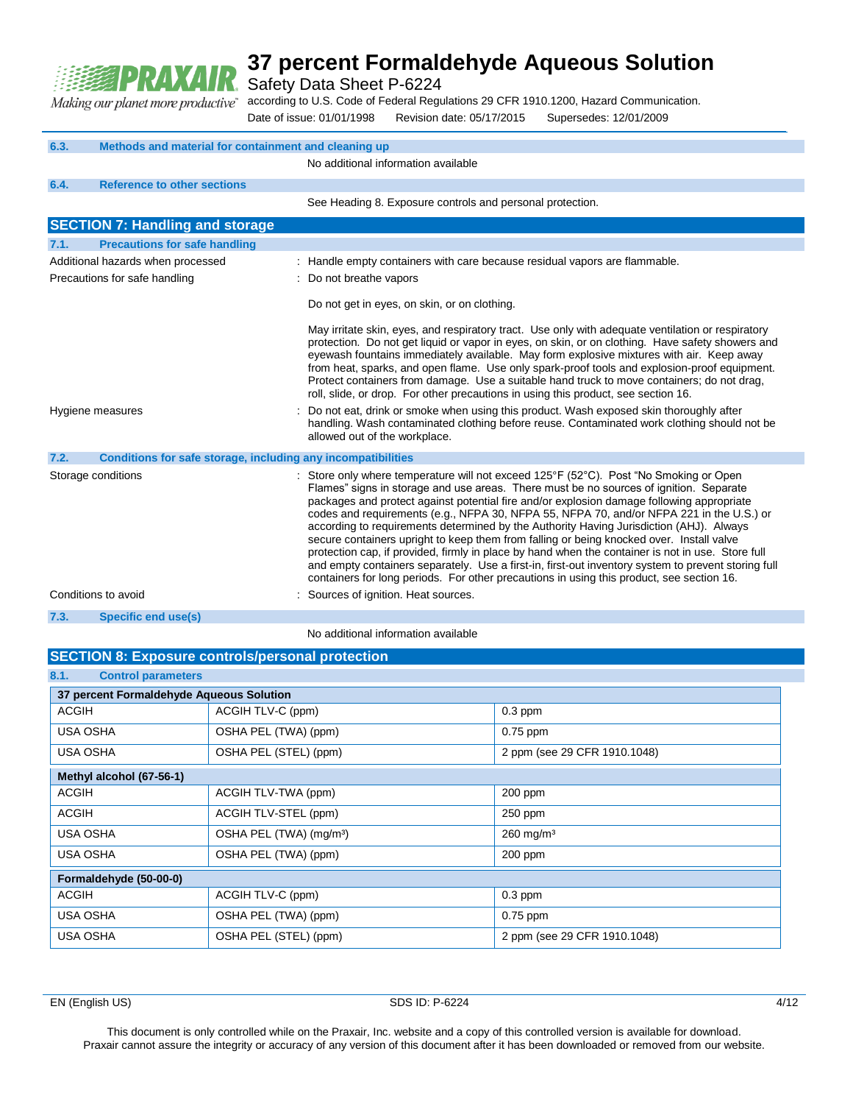

Safety Data Sheet P-6224

according to U.S. Code of Federal Regulations 29 CFR 1910.1200, Hazard Communication. Making our planet more productive"

Date of issue: 01/01/1998 Revision date: 05/17/2015 Supersedes: 12/01/2009

| 6.3.                                                               | Methods and material for containment and cleaning up         |                                                                                                                                                                                                                                                                                                                                                                                                                                                                                                                                                                                                                                                                                                                                                                                                                                                                          |
|--------------------------------------------------------------------|--------------------------------------------------------------|--------------------------------------------------------------------------------------------------------------------------------------------------------------------------------------------------------------------------------------------------------------------------------------------------------------------------------------------------------------------------------------------------------------------------------------------------------------------------------------------------------------------------------------------------------------------------------------------------------------------------------------------------------------------------------------------------------------------------------------------------------------------------------------------------------------------------------------------------------------------------|
|                                                                    |                                                              | No additional information available                                                                                                                                                                                                                                                                                                                                                                                                                                                                                                                                                                                                                                                                                                                                                                                                                                      |
| 6.4.                                                               | <b>Reference to other sections</b>                           |                                                                                                                                                                                                                                                                                                                                                                                                                                                                                                                                                                                                                                                                                                                                                                                                                                                                          |
|                                                                    |                                                              | See Heading 8. Exposure controls and personal protection.                                                                                                                                                                                                                                                                                                                                                                                                                                                                                                                                                                                                                                                                                                                                                                                                                |
|                                                                    | <b>SECTION 7: Handling and storage</b>                       |                                                                                                                                                                                                                                                                                                                                                                                                                                                                                                                                                                                                                                                                                                                                                                                                                                                                          |
| 7.1.                                                               | <b>Precautions for safe handling</b>                         |                                                                                                                                                                                                                                                                                                                                                                                                                                                                                                                                                                                                                                                                                                                                                                                                                                                                          |
| Additional hazards when processed<br>Precautions for safe handling |                                                              | : Handle empty containers with care because residual vapors are flammable.<br>: Do not breathe vapors                                                                                                                                                                                                                                                                                                                                                                                                                                                                                                                                                                                                                                                                                                                                                                    |
|                                                                    |                                                              | Do not get in eyes, on skin, or on clothing.                                                                                                                                                                                                                                                                                                                                                                                                                                                                                                                                                                                                                                                                                                                                                                                                                             |
|                                                                    |                                                              | May irritate skin, eyes, and respiratory tract. Use only with adequate ventilation or respiratory<br>protection. Do not get liquid or vapor in eyes, on skin, or on clothing. Have safety showers and<br>eyewash fountains immediately available. May form explosive mixtures with air. Keep away<br>from heat, sparks, and open flame. Use only spark-proof tools and explosion-proof equipment.<br>Protect containers from damage. Use a suitable hand truck to move containers; do not drag,<br>roll, slide, or drop. For other precautions in using this product, see section 16.                                                                                                                                                                                                                                                                                    |
| Hygiene measures                                                   |                                                              | Do not eat, drink or smoke when using this product. Wash exposed skin thoroughly after<br>handling. Wash contaminated clothing before reuse. Contaminated work clothing should not be<br>allowed out of the workplace.                                                                                                                                                                                                                                                                                                                                                                                                                                                                                                                                                                                                                                                   |
| 7.2.                                                               | Conditions for safe storage, including any incompatibilities |                                                                                                                                                                                                                                                                                                                                                                                                                                                                                                                                                                                                                                                                                                                                                                                                                                                                          |
|                                                                    | Storage conditions                                           | : Store only where temperature will not exceed 125°F (52°C). Post "No Smoking or Open<br>Flames" signs in storage and use areas. There must be no sources of ignition. Separate<br>packages and protect against potential fire and/or explosion damage following appropriate<br>codes and requirements (e.g., NFPA 30, NFPA 55, NFPA 70, and/or NFPA 221 in the U.S.) or<br>according to requirements determined by the Authority Having Jurisdiction (AHJ). Always<br>secure containers upright to keep them from falling or being knocked over. Install valve<br>protection cap, if provided, firmly in place by hand when the container is not in use. Store full<br>and empty containers separately. Use a first-in, first-out inventory system to prevent storing full<br>containers for long periods. For other precautions in using this product, see section 16. |
|                                                                    | Conditions to avoid                                          | : Sources of ignition. Heat sources.                                                                                                                                                                                                                                                                                                                                                                                                                                                                                                                                                                                                                                                                                                                                                                                                                                     |
| 7.3.                                                               | Specific end use(s)                                          |                                                                                                                                                                                                                                                                                                                                                                                                                                                                                                                                                                                                                                                                                                                                                                                                                                                                          |
|                                                                    |                                                              | No additional information available                                                                                                                                                                                                                                                                                                                                                                                                                                                                                                                                                                                                                                                                                                                                                                                                                                      |

#### **SECTION 8: Exposure controls/personal protection**

| 8.1.<br><b>Control parameters</b>        |                                     |                              |
|------------------------------------------|-------------------------------------|------------------------------|
| 37 percent Formaldehyde Aqueous Solution |                                     |                              |
| <b>ACGIH</b>                             | ACGIH TLV-C (ppm)                   | $0.3$ ppm                    |
| <b>USA OSHA</b>                          | OSHA PEL (TWA) (ppm)                | $0.75$ ppm                   |
| <b>USA OSHA</b>                          | OSHA PEL (STEL) (ppm)               | 2 ppm (see 29 CFR 1910.1048) |
| Methyl alcohol (67-56-1)                 |                                     |                              |
| <b>ACGIH</b>                             | ACGIH TLV-TWA (ppm)                 | 200 ppm                      |
| <b>ACGIH</b>                             | ACGIH TLV-STEL (ppm)                | 250 ppm                      |
| <b>USA OSHA</b>                          | OSHA PEL (TWA) (mg/m <sup>3</sup> ) | $260$ mg/m <sup>3</sup>      |
| <b>USA OSHA</b>                          | OSHA PEL (TWA) (ppm)                | $200$ ppm                    |
| Formaldehyde (50-00-0)                   |                                     |                              |
| <b>ACGIH</b>                             | ACGIH TLV-C (ppm)                   | $0.3$ ppm                    |
| <b>USA OSHA</b>                          | OSHA PEL (TWA) (ppm)                | $0.75$ ppm                   |
| USA OSHA                                 | OSHA PEL (STEL) (ppm)               | 2 ppm (see 29 CFR 1910.1048) |

EN (English US) and the SDS ID: P-6224 4/12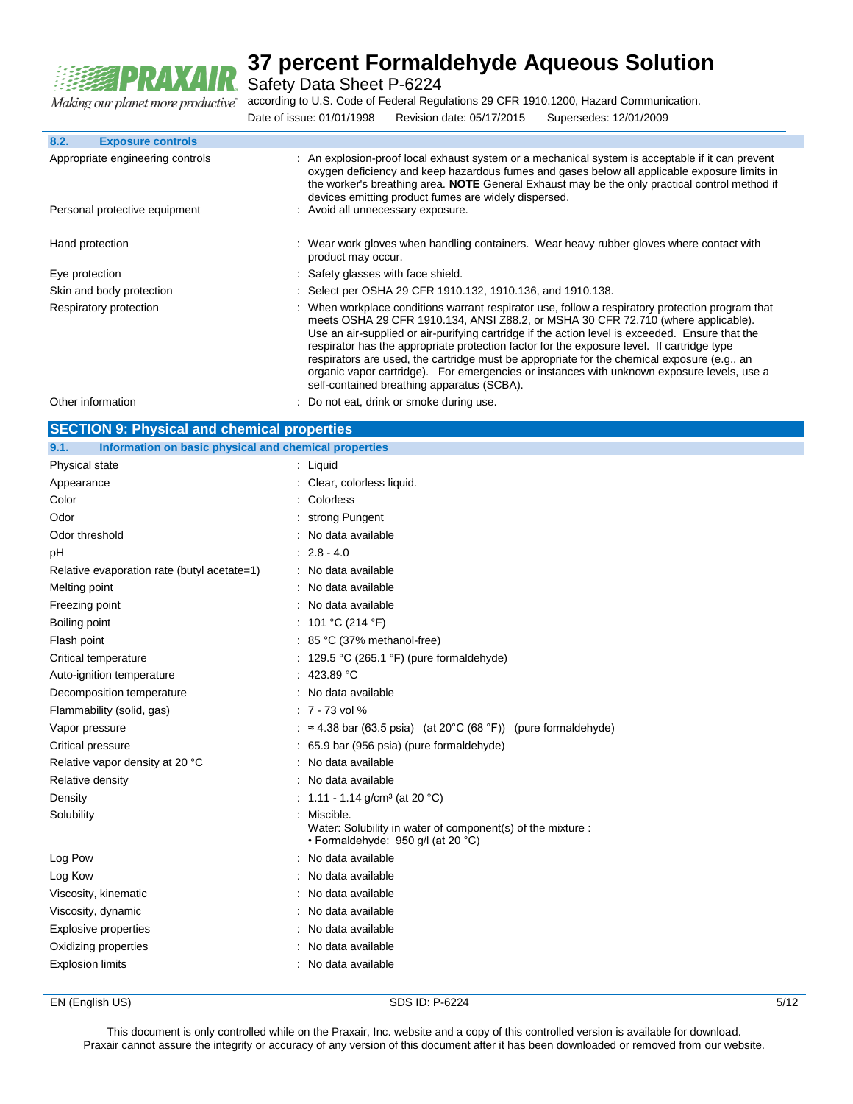

Safety Data Sheet P-6224

according to U.S. Code of Federal Regulations 29 CFR 1910.1200, Hazard Communication.

|                           | a matematica de la construcción de la construcción de la construcción de la construcción de la construcción de |                        |  |
|---------------------------|----------------------------------------------------------------------------------------------------------------|------------------------|--|
| Date of issue: 01/01/1998 | Revision date: 05/17/2015                                                                                      | Supersedes: 12/01/2009 |  |

| 8.2.<br><b>Exposure controls</b>                                  |                                                                                                                                                                                                                                                                                                                                                                                                                                                                                                                                                                                                                                   |
|-------------------------------------------------------------------|-----------------------------------------------------------------------------------------------------------------------------------------------------------------------------------------------------------------------------------------------------------------------------------------------------------------------------------------------------------------------------------------------------------------------------------------------------------------------------------------------------------------------------------------------------------------------------------------------------------------------------------|
| Appropriate engineering controls<br>Personal protective equipment | An explosion-proof local exhaust system or a mechanical system is acceptable if it can prevent<br>oxygen deficiency and keep hazardous fumes and gases below all applicable exposure limits in<br>the worker's breathing area. <b>NOTE</b> General Exhaust may be the only practical control method if<br>devices emitting product fumes are widely dispersed.<br>: Avoid all unnecessary exposure.                                                                                                                                                                                                                               |
|                                                                   |                                                                                                                                                                                                                                                                                                                                                                                                                                                                                                                                                                                                                                   |
| Hand protection                                                   | : Wear work gloves when handling containers. Wear heavy rubber gloves where contact with<br>product may occur.                                                                                                                                                                                                                                                                                                                                                                                                                                                                                                                    |
| Eye protection                                                    | : Safety glasses with face shield.                                                                                                                                                                                                                                                                                                                                                                                                                                                                                                                                                                                                |
| Skin and body protection                                          | : Select per OSHA 29 CFR 1910.132, 1910.136, and 1910.138.                                                                                                                                                                                                                                                                                                                                                                                                                                                                                                                                                                        |
| Respiratory protection                                            | : When workplace conditions warrant respirator use, follow a respiratory protection program that<br>meets OSHA 29 CFR 1910.134, ANSI Z88.2, or MSHA 30 CFR 72.710 (where applicable).<br>Use an air-supplied or air-purifying cartridge if the action level is exceeded. Ensure that the<br>respirator has the appropriate protection factor for the exposure level. If cartridge type<br>respirators are used, the cartridge must be appropriate for the chemical exposure (e.g., an<br>organic vapor cartridge). For emergencies or instances with unknown exposure levels, use a<br>self-contained breathing apparatus (SCBA). |

| Other information                                             | : Do not eat, drink or smoke during use.                                                                       |  |  |
|---------------------------------------------------------------|----------------------------------------------------------------------------------------------------------------|--|--|
| <b>SECTION 9: Physical and chemical properties</b>            |                                                                                                                |  |  |
| Information on basic physical and chemical properties<br>9.1. |                                                                                                                |  |  |
| Physical state                                                | : Liquid                                                                                                       |  |  |
| Appearance                                                    | Clear, colorless liquid.                                                                                       |  |  |
| Color                                                         | Colorless                                                                                                      |  |  |
| Odor                                                          | strong Pungent                                                                                                 |  |  |
| Odor threshold                                                | No data available                                                                                              |  |  |
| рH                                                            | $: 2.8 - 4.0$                                                                                                  |  |  |
| Relative evaporation rate (butyl acetate=1)                   | No data available                                                                                              |  |  |
| Melting point                                                 | No data available                                                                                              |  |  |
| Freezing point                                                | No data available                                                                                              |  |  |
| Boiling point                                                 | : 101 °C (214 °F)                                                                                              |  |  |
| Flash point                                                   | $: 85 °C$ (37% methanol-free)                                                                                  |  |  |
| Critical temperature                                          | 129.5 °C (265.1 °F) (pure formaldehyde)                                                                        |  |  |
| Auto-ignition temperature                                     | : 423.89 °C                                                                                                    |  |  |
| Decomposition temperature                                     | : No data available                                                                                            |  |  |
| Flammability (solid, gas)                                     | $: 7 - 73$ vol %                                                                                               |  |  |
| Vapor pressure                                                | : $\approx$ 4.38 bar (63.5 psia) (at 20°C (68 °F)) (pure formaldehyde)                                         |  |  |
| Critical pressure                                             | 65.9 bar (956 psia) (pure formaldehyde)                                                                        |  |  |
| Relative vapor density at 20 °C                               | No data available                                                                                              |  |  |
| Relative density                                              | No data available                                                                                              |  |  |
| Density                                                       | : 1.11 - 1.14 g/cm <sup>3</sup> (at 20 °C)                                                                     |  |  |
| Solubility                                                    | Miscible.<br>Water: Solubility in water of component(s) of the mixture :<br>· Formaldehyde: 950 g/l (at 20 °C) |  |  |
| Log Pow                                                       | No data available                                                                                              |  |  |
| Log Kow                                                       | No data available                                                                                              |  |  |
| Viscosity, kinematic                                          | No data available                                                                                              |  |  |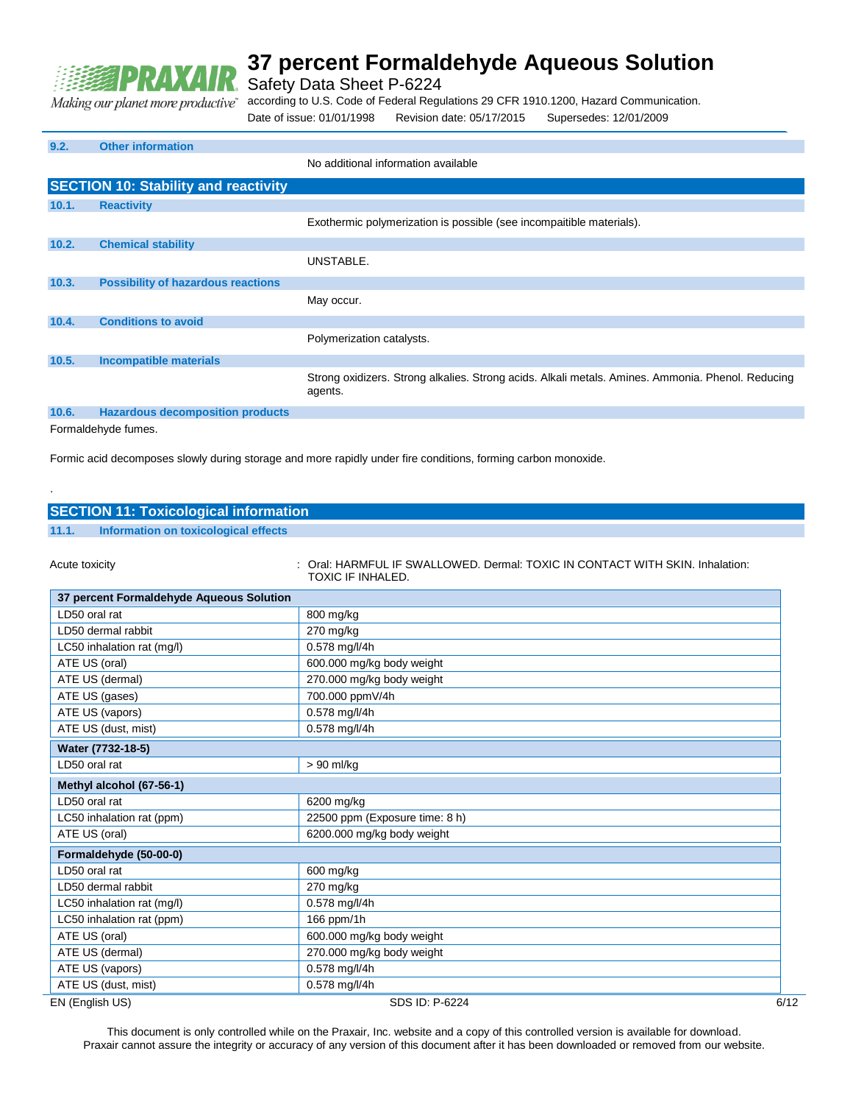

Safety Data Sheet P-6224

according to U.S. Code of Federal Regulations 29 CFR 1910.1200, Hazard Communication. Making our planet more productive"

Date of issue: 01/01/1998 Revision date: 05/17/2015 Supersedes: 12/01/2009

### **9.2. Other information** No additional information available **SECTION 10: Stability and reactivity 10.1. Reactivity** Exothermic polymerization is possible (see incompaitible materials). **10.2. Chemical stability** UNSTABLE. **10.3. Possibility of hazardous reactions** May occur. **10.4. Conditions to avoid** Polymerization catalysts. **10.5. Incompatible materials** Strong oxidizers. Strong alkalies. Strong acids. Alkali metals. Amines. Ammonia. Phenol. Reducing agents.

### **10.6. Hazardous decomposition products**

Formaldehyde fumes.

.

Formic acid decomposes slowly during storage and more rapidly under fire conditions, forming carbon monoxide.

| <b>SECTION 11: Toxicological information</b>  |                                                                             |
|-----------------------------------------------|-----------------------------------------------------------------------------|
| 11.1.<br>Information on toxicological effects |                                                                             |
|                                               |                                                                             |
| Acute toxicity                                | Oral: HARMFUL IF SWALLOWED, Dermal: TOXIC IN CONTACT WITH SKIN, Inhalation: |
|                                               | TOXIC IF INHALED.                                                           |
| 37 percent Formaldehyde Aqueous Solution      |                                                                             |
| LD50 oral rat                                 | 800 mg/kg                                                                   |
| LD50 dermal rabbit                            | 270 mg/kg                                                                   |
| LC50 inhalation rat (mg/l)                    | 0.578 mg/l/4h                                                               |
| ATE US (oral)                                 | 600.000 mg/kg body weight                                                   |
| ATE US (dermal)                               | 270.000 mg/kg body weight                                                   |
| ATE US (gases)                                | 700.000 ppmV/4h                                                             |
| ATE US (vapors)                               | 0.578 mg/l/4h                                                               |
| ATE US (dust, mist)                           | 0.578 mg/l/4h                                                               |
| Water (7732-18-5)                             |                                                                             |
| LD50 oral rat                                 | > 90 ml/kg                                                                  |
| Methyl alcohol (67-56-1)                      |                                                                             |
| LD50 oral rat                                 | 6200 mg/kg                                                                  |
| LC50 inhalation rat (ppm)                     | 22500 ppm (Exposure time: 8 h)                                              |
| ATE US (oral)                                 | 6200.000 mg/kg body weight                                                  |
| Formaldehyde (50-00-0)                        |                                                                             |
| LD50 oral rat                                 | 600 mg/kg                                                                   |
| LD50 dermal rabbit                            | 270 mg/kg                                                                   |
| LC50 inhalation rat (mg/l)                    | 0.578 mg/l/4h                                                               |
| LC50 inhalation rat (ppm)                     | 166 ppm/1h                                                                  |
| ATE US (oral)                                 | 600.000 mg/kg body weight                                                   |
| ATE US (dermal)                               | 270.000 mg/kg body weight                                                   |
| ATE US (vapors)                               | 0.578 mg/l/4h                                                               |

EN (English US) SDS ID: P-6224 6/12

ATE US (dust, mist) 0.578 mg/l/4h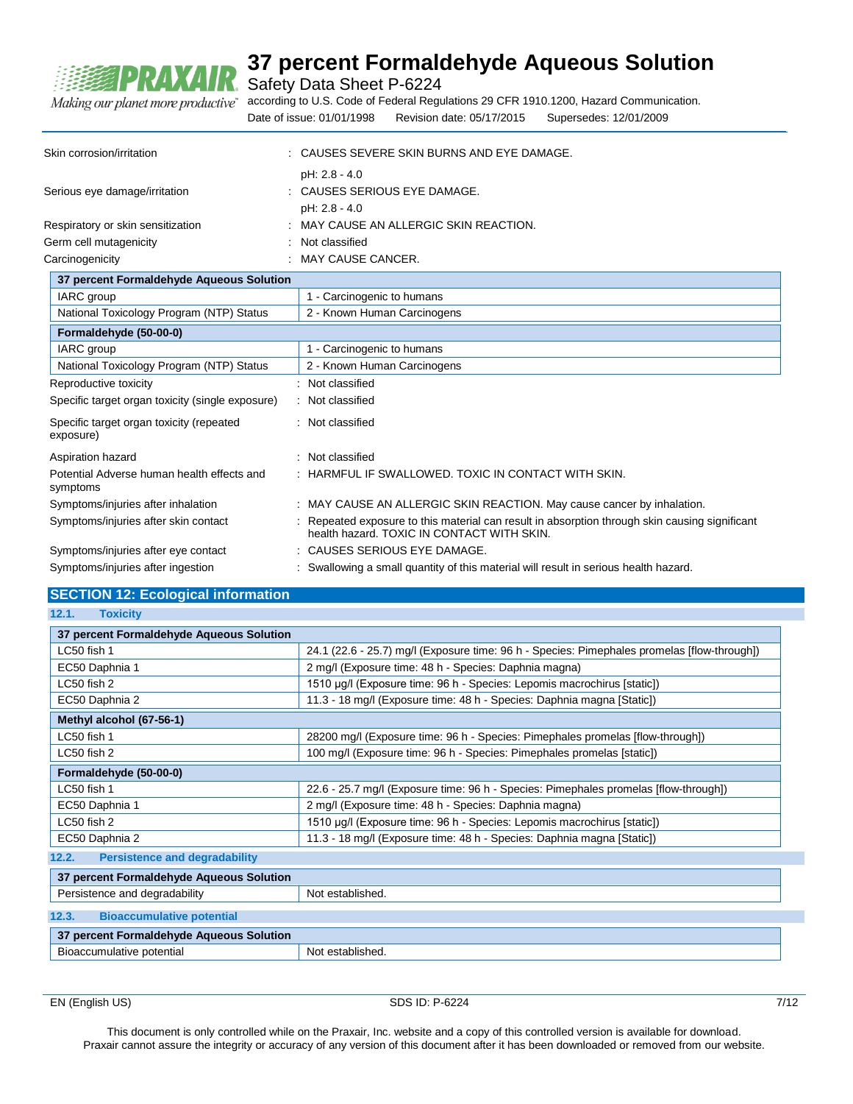

Safety Data Sheet P-6224

according to U.S. Code of Federal Regulations 29 CFR 1910.1200, Hazard Communication. Making our planet more productive" Date of issue: 01/01/1998 Revision date: 05/17/2015 Supersedes: 12/01/2009

| Skin corrosion/irritation         | : CAUSES SEVERE SKIN BURNS AND EYE DAMAGE.                     |
|-----------------------------------|----------------------------------------------------------------|
| Serious eye damage/irritation     | pH: 2.8 - 4.0<br>: CAUSES SERIOUS EYE DAMAGE.<br>pH: 2.8 - 4.0 |
| Respiratory or skin sensitization | : MAY CAUSE AN ALLERGIC SKIN REACTION.                         |
| Germ cell mutagenicity            | Not classified<br>٠                                            |
| Carcinogenicity                   | MAY CAUSE CANCER.                                              |

| 37 percent Formaldehyde Aqueous Solution               |                                                                                                                                              |
|--------------------------------------------------------|----------------------------------------------------------------------------------------------------------------------------------------------|
| IARC group                                             | 1 - Carcinogenic to humans                                                                                                                   |
| National Toxicology Program (NTP) Status               | 2 - Known Human Carcinogens                                                                                                                  |
| Formaldehyde (50-00-0)                                 |                                                                                                                                              |
| IARC group                                             | 1 - Carcinogenic to humans                                                                                                                   |
| National Toxicology Program (NTP) Status               | 2 - Known Human Carcinogens                                                                                                                  |
| Reproductive toxicity                                  | : Not classified                                                                                                                             |
| Specific target organ toxicity (single exposure)       | : Not classified                                                                                                                             |
| Specific target organ toxicity (repeated<br>exposure)  | : Not classified                                                                                                                             |
| Aspiration hazard                                      | : Not classified                                                                                                                             |
| Potential Adverse human health effects and<br>symptoms | $\pm$ HARMFUL IF SWALLOWED. TOXIC IN CONTACT WITH SKIN.                                                                                      |
| Symptoms/injuries after inhalation                     | : MAY CAUSE AN ALLERGIC SKIN REACTION. May cause cancer by inhalation.                                                                       |
| Symptoms/injuries after skin contact                   | : Repeated exposure to this material can result in absorption through skin causing significant<br>health hazard. TOXIC IN CONTACT WITH SKIN. |
| Symptoms/injuries after eye contact                    | : CAUSES SERIOUS EYE DAMAGE.                                                                                                                 |
| Symptoms/injuries after ingestion                      | : Swallowing a small quantity of this material will result in serious health hazard.                                                         |

### **SECTION 12: Ecological information**

| 12.1.<br><b>Toxicity</b>                                                                 |                                                                                             |  |
|------------------------------------------------------------------------------------------|---------------------------------------------------------------------------------------------|--|
| 37 percent Formaldehyde Aqueous Solution                                                 |                                                                                             |  |
| LC50 fish 1                                                                              | 24.1 (22.6 - 25.7) mg/l (Exposure time: 96 h - Species: Pimephales promelas [flow-through]) |  |
| EC50 Daphnia 1                                                                           | 2 mg/l (Exposure time: 48 h - Species: Daphnia magna)                                       |  |
| LC50 fish 2                                                                              | 1510 µg/l (Exposure time: 96 h - Species: Lepomis macrochirus [static])                     |  |
| EC50 Daphnia 2                                                                           | 11.3 - 18 mg/l (Exposure time: 48 h - Species: Daphnia magna [Static])                      |  |
| Methyl alcohol (67-56-1)                                                                 |                                                                                             |  |
| LC50 fish 1                                                                              | 28200 mg/l (Exposure time: 96 h - Species: Pimephales promelas [flow-through])              |  |
| LC50 fish 2                                                                              | 100 mg/l (Exposure time: 96 h - Species: Pimephales promelas [static])                      |  |
| Formaldehyde (50-00-0)                                                                   |                                                                                             |  |
| LC50 fish 1                                                                              | 22.6 - 25.7 mg/l (Exposure time: 96 h - Species: Pimephales promelas [flow-through])        |  |
| EC50 Daphnia 1                                                                           | 2 mg/l (Exposure time: 48 h - Species: Daphnia magna)                                       |  |
| LC50 fish 2<br>1510 µg/l (Exposure time: 96 h - Species: Lepomis macrochirus [static])   |                                                                                             |  |
| EC50 Daphnia 2<br>11.3 - 18 mg/l (Exposure time: 48 h - Species: Daphnia magna [Static]) |                                                                                             |  |
| 12.2.<br><b>Persistence and degradability</b>                                            |                                                                                             |  |
| 37 percent Formaldehyde Aqueous Solution                                                 |                                                                                             |  |
| Persistence and degradability                                                            | Not established.                                                                            |  |
| <b>Bioaccumulative potential</b><br>12.3.                                                |                                                                                             |  |
| 37 percent Formaldehyde Aqueous Solution                                                 |                                                                                             |  |
| Bioaccumulative potential                                                                | Not established.                                                                            |  |

EN (English US) SDS ID: P-6224 7/12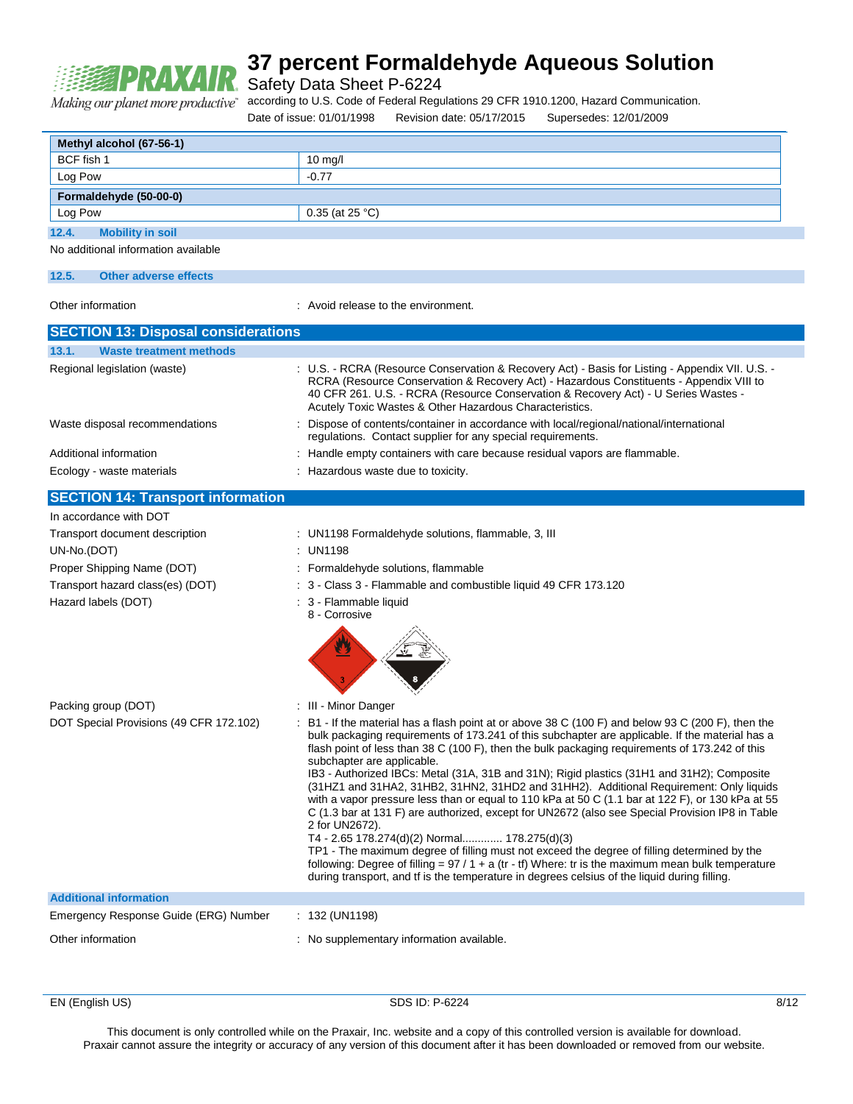

Safety Data Sheet P-6224

Making our planet more productive"

according to U.S. Code of Federal Regulations 29 CFR 1910.1200, Hazard Communication.

Date of issue: 01/01/1998 Revision date: 05/17/2015 Supersedes: 12/01/2009 **Methyl alcohol (67-56-1)** BCF fish 1 10 mg/l Log Pow and the contract of the contract of the contract of the contract of the contract of the contract of the contract of the contract of the contract of the contract of the contract of the contract of the contract of th **Formaldehyde (50-00-0)** Log Pow  $\vert$  0.35 (at 25 °C) **12.4. Mobility in soil** No additional information available **12.5. Other adverse effects** Other information **in the environment** of the environment in Avoid release to the environment **SECTION 13: Disposal considerations 13.1. Waste treatment methods** Regional legislation (waste) : U.S. - RCRA (Resource Conservation & Recovery Act) - Basis for Listing - Appendix VII. U.S. RCRA (Resource Conservation & Recovery Act) - Hazardous Constituents - Appendix VIII to 40 CFR 261. U.S. - RCRA (Resource Conservation & Recovery Act) - U Series Wastes - Acutely Toxic Wastes & Other Hazardous Characteristics. Waste disposal recommendations : Dispose of contents/container in accordance with local/regional/national/international regulations. Contact supplier for any special requirements. Additional information **income in the containers** with care because residual vapors are flammable. Ecology - waste materials : Hazardous waste due to toxicity. **SECTION 14: Transport information** In accordance with DOT Transport document description : UN1198 Formaldehyde solutions, flammable, 3, III UN-No.(DOT) : UN1198 Proper Shipping Name (DOT) : Formaldehyde solutions, flammable Transport hazard class(es) (DOT) : 3 - Class 3 - Flammable and combustible liquid 49 CFR 173.120 Hazard labels (DOT) in the set of the set of the San Flammable liquid 8 - Corrosive Packing group (DOT) **:** III - Minor Danger DOT Special Provisions (49 CFR 172.102) : B1 - If the material has a flash point at or above 38 C (100 F) and below 93 C (200 F), then the bulk packaging requirements of 173.241 of this subchapter are applicable. If the material has a flash point of less than 38 C (100 F), then the bulk packaging requirements of 173.242 of this subchapter are applicable. IB3 - Authorized IBCs: Metal (31A, 31B and 31N); Rigid plastics (31H1 and 31H2); Composite (31HZ1 and 31HA2, 31HB2, 31HN2, 31HD2 and 31HH2). Additional Requirement: Only liquids with a vapor pressure less than or equal to 110 kPa at 50 C (1.1 bar at 122 F), or 130 kPa at 55 C (1.3 bar at 131 F) are authorized, except for UN2672 (also see Special Provision IP8 in Table 2 for UN2672). T4 - 2.65 178.274(d)(2) Normal............. 178.275(d)(3) TP1 - The maximum degree of filling must not exceed the degree of filling determined by the following: Degree of filling =  $97 / 1 + a$  (tr - tf) Where: tr is the maximum mean bulk temperature during transport, and tf is the temperature in degrees celsius of the liquid during filling. **Additional information** Emergency Response Guide (ERG) Number : 132 (UN1198) Other information **Other information** : No supplementary information available.

EN (English US) SDS ID: P-6224 8/12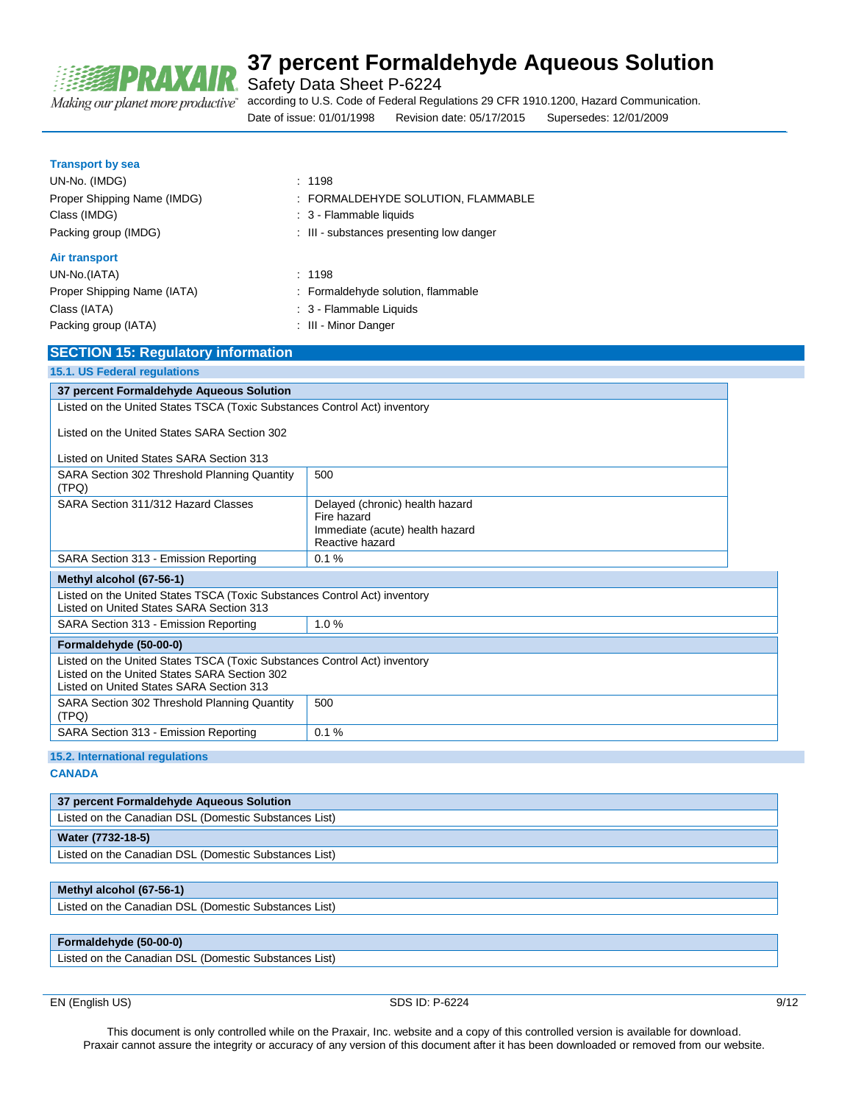

Making our planet more productive"

# **37 percent Formaldehyde Aqueous Solution**

Safety Data Sheet P-6224

according to U.S. Code of Federal Regulations 29 CFR 1910.1200, Hazard Communication. Date of issue: 01/01/1998 Revision date: 05/17/2015 Supersedes: 12/01/2009

| <b>Transport by sea</b> |  |
|-------------------------|--|
|-------------------------|--|

| UN-No. (IMDG)               | : 1198                                   |
|-----------------------------|------------------------------------------|
| Proper Shipping Name (IMDG) | : FORMALDEHYDE SOLUTION, FLAMMABLE       |
| Class (IMDG)                | : 3 - Flammable liquids                  |
| Packing group (IMDG)        | : III - substances presenting low danger |
| <b>Air transport</b>        |                                          |
| UN-No.(IATA)                | : 1198                                   |
| Proper Shipping Name (IATA) | : Formaldehyde solution, flammable       |
| Class (IATA)                | : 3 - Flammable Liquids                  |

Packing group (IATA) : III - Minor Danger

### **SECTION 15: Regulatory information**

| 15.1. US Federal regulations                                                                                                                                          |                                                                                                      |  |
|-----------------------------------------------------------------------------------------------------------------------------------------------------------------------|------------------------------------------------------------------------------------------------------|--|
| 37 percent Formaldehyde Aqueous Solution                                                                                                                              |                                                                                                      |  |
| Listed on the United States TSCA (Toxic Substances Control Act) inventory                                                                                             |                                                                                                      |  |
| Listed on the United States SARA Section 302                                                                                                                          |                                                                                                      |  |
| Listed on United States SARA Section 313                                                                                                                              |                                                                                                      |  |
| SARA Section 302 Threshold Planning Quantity<br>(TPQ)                                                                                                                 | 500                                                                                                  |  |
| SARA Section 311/312 Hazard Classes                                                                                                                                   | Delayed (chronic) health hazard<br>Fire hazard<br>Immediate (acute) health hazard<br>Reactive hazard |  |
| SARA Section 313 - Emission Reporting                                                                                                                                 | 0.1%                                                                                                 |  |
| Methyl alcohol (67-56-1)                                                                                                                                              |                                                                                                      |  |
| Listed on the United States TSCA (Toxic Substances Control Act) inventory<br>Listed on United States SARA Section 313                                                 |                                                                                                      |  |
| SARA Section 313 - Emission Reporting                                                                                                                                 | 1.0%                                                                                                 |  |
| Formaldehyde (50-00-0)                                                                                                                                                |                                                                                                      |  |
| Listed on the United States TSCA (Toxic Substances Control Act) inventory<br>Listed on the United States SARA Section 302<br>Listed on United States SARA Section 313 |                                                                                                      |  |
| SARA Section 302 Threshold Planning Quantity<br>(TPQ)                                                                                                                 | 500                                                                                                  |  |
| SARA Section 313 - Emission Reporting                                                                                                                                 | 0.1%                                                                                                 |  |
| the contract of the contract of the contract of the contract of the contract of<br>.                                                                                  |                                                                                                      |  |

### **15.2. International regulations**

**CANADA**

| 37 percent Formaldehyde Aqueous Solution              |
|-------------------------------------------------------|
| Listed on the Canadian DSL (Domestic Substances List) |
| Water (7732-18-5)                                     |
| Listed on the Canadian DSL (Domestic Substances List) |

#### **Methyl alcohol (67-56-1)**

Listed on the Canadian DSL (Domestic Substances List)

### **Formaldehyde (50-00-0)**

Listed on the Canadian DSL (Domestic Substances List)

EN (English US) 9/12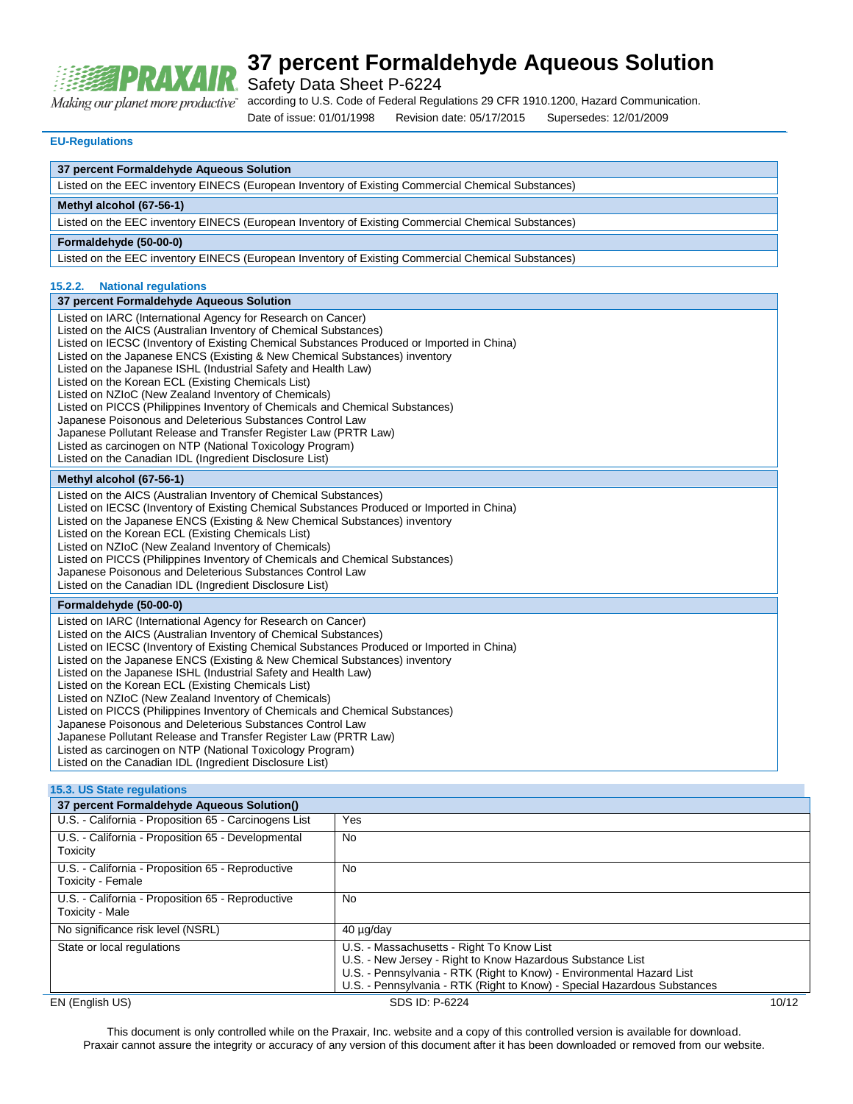

Safety Data Sheet P-6224

according to U.S. Code of Federal Regulations 29 CFR 1910.1200, Hazard Communication. Making our planet more productive"

Date of issue: 01/01/1998 Revision date: 05/17/2015 Supersedes: 12/01/2009

#### **EU-Regulations**

#### **37 percent Formaldehyde Aqueous Solution**

Listed on the EEC inventory EINECS (European Inventory of Existing Commercial Chemical Substances)

#### **Methyl alcohol (67-56-1)**

Listed on the EEC inventory EINECS (European Inventory of Existing Commercial Chemical Substances)

#### **Formaldehyde (50-00-0)**

Listed on the EEC inventory EINECS (European Inventory of Existing Commercial Chemical Substances)

#### **15.2.2. National regulations**

#### **37 percent Formaldehyde Aqueous Solution**

Listed on IARC (International Agency for Research on Cancer) Listed on the AICS (Australian Inventory of Chemical Substances) Listed on IECSC (Inventory of Existing Chemical Substances Produced or Imported in China) Listed on the Japanese ENCS (Existing & New Chemical Substances) inventory Listed on the Japanese ISHL (Industrial Safety and Health Law) Listed on the Korean ECL (Existing Chemicals List) Listed on NZIoC (New Zealand Inventory of Chemicals) Listed on PICCS (Philippines Inventory of Chemicals and Chemical Substances) Japanese Poisonous and Deleterious Substances Control Law Japanese Pollutant Release and Transfer Register Law (PRTR Law) Listed as carcinogen on NTP (National Toxicology Program) Listed on the Canadian IDL (Ingredient Disclosure List) **Methyl alcohol (67-56-1)** Listed on the AICS (Australian Inventory of Chemical Substances)

Listed on IECSC (Inventory of Existing Chemical Substances Produced or Imported in China)

Listed on the Japanese ENCS (Existing & New Chemical Substances) inventory

Listed on the Korean ECL (Existing Chemicals List)

Listed on NZIoC (New Zealand Inventory of Chemicals)

- Listed on PICCS (Philippines Inventory of Chemicals and Chemical Substances)
- Japanese Poisonous and Deleterious Substances Control Law

Listed on the Canadian IDL (Ingredient Disclosure List)

#### **Formaldehyde (50-00-0)**

Listed on IARC (International Agency for Research on Cancer) Listed on the AICS (Australian Inventory of Chemical Substances) Listed on IECSC (Inventory of Existing Chemical Substances Produced or Imported in China) Listed on the Japanese ENCS (Existing & New Chemical Substances) inventory Listed on the Japanese ISHL (Industrial Safety and Health Law) Listed on the Korean ECL (Existing Chemicals List) Listed on NZIoC (New Zealand Inventory of Chemicals) Listed on PICCS (Philippines Inventory of Chemicals and Chemical Substances) Japanese Poisonous and Deleterious Substances Control Law Japanese Pollutant Release and Transfer Register Law (PRTR Law) Listed as carcinogen on NTP (National Toxicology Program) Listed on the Canadian IDL (Ingredient Disclosure List)

#### **15.3. US State regulations**

| 37 percent Formaldehyde Aqueous Solution()                             |                                                                                                                                                                                                                                                              |       |
|------------------------------------------------------------------------|--------------------------------------------------------------------------------------------------------------------------------------------------------------------------------------------------------------------------------------------------------------|-------|
| U.S. - California - Proposition 65 - Carcinogens List                  | Yes                                                                                                                                                                                                                                                          |       |
| U.S. - California - Proposition 65 - Developmental<br>Toxicity         | <b>No</b>                                                                                                                                                                                                                                                    |       |
| U.S. - California - Proposition 65 - Reproductive<br>Toxicity - Female | No                                                                                                                                                                                                                                                           |       |
| U.S. - California - Proposition 65 - Reproductive<br>Toxicity - Male   | No                                                                                                                                                                                                                                                           |       |
| No significance risk level (NSRL)                                      | 40 µg/day                                                                                                                                                                                                                                                    |       |
| State or local regulations                                             | U.S. - Massachusetts - Right To Know List<br>U.S. - New Jersey - Right to Know Hazardous Substance List<br>U.S. - Pennsylvania - RTK (Right to Know) - Environmental Hazard List<br>U.S. - Pennsylvania - RTK (Right to Know) - Special Hazardous Substances |       |
| EN (English US)                                                        | SDS ID: P-6224                                                                                                                                                                                                                                               | 10/12 |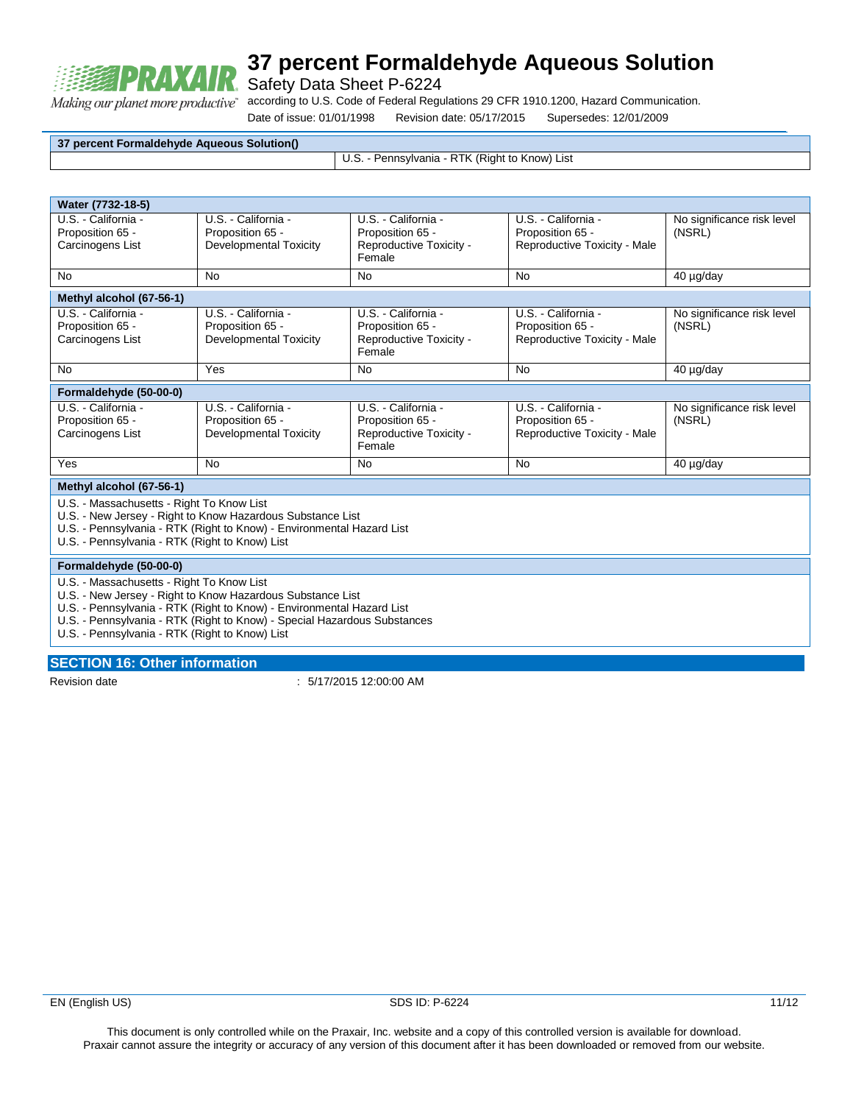

Safety Data Sheet P-6224

according to U.S. Code of Federal Regulations 29 CFR 1910.1200, Hazard Communication. Making our planet more productive"

Date of issue: 01/01/1998 Revision date: 05/17/2015 Supersedes: 12/01/2009

**37 percent Formaldehyde Aqueous Solution()**

U.S. - Pennsylvania - RTK (Right to Know) List

**Water (7732-18-5)** U.S. - California - Proposition 65 - Carcinogens List U.S. - California - Proposition 65 - Developmental Toxicity U.S. - California - Proposition 65 - Reproductive Toxicity - Female U.S. - California - Proposition 65 - Reproductive Toxicity - Male No significance risk level (NSRL) No No No No 40 µg/day **Methyl alcohol (67-56-1)** U.S. - California - Proposition 65 - Carcinogens List U.S. - California - Proposition 65 - Developmental Toxicity U.S. - California - Proposition 65 - Reproductive Toxicity - Female U.S. - California - Proposition 65 - Reproductive Toxicity - Male No significance risk level (NSRL) No Yes No No 40 µg/day **Formaldehyde (50-00-0)** U.S. - California - Proposition 65 - Carcinogens List U.S. - California - Proposition 65 - Developmental Toxicity U.S. - California - Proposition 65 - Reproductive Toxicity - Female U.S. - California - Proposition 65 - Reproductive Toxicity - Male No significance risk level (NSRL) Yes No No No 40 µg/day **Methyl alcohol (67-56-1)** U.S. - Massachusetts - Right To Know List U.S. - New Jersey - Right to Know Hazardous Substance List U.S. - Pennsylvania - RTK (Right to Know) - Environmental Hazard List U.S. - Pennsylvania - RTK (Right to Know) List

#### **Formaldehyde (50-00-0)**

- U.S. Massachusetts Right To Know List
- U.S. New Jersey Right to Know Hazardous Substance List
- U.S. Pennsylvania RTK (Right to Know) Environmental Hazard List
- U.S. Pennsylvania RTK (Right to Know) Special Hazardous Substances

U.S. - Pennsylvania - RTK (Right to Know) List

#### **SECTION 16: Other information**

Revision date : 5/17/2015 12:00:00 AM